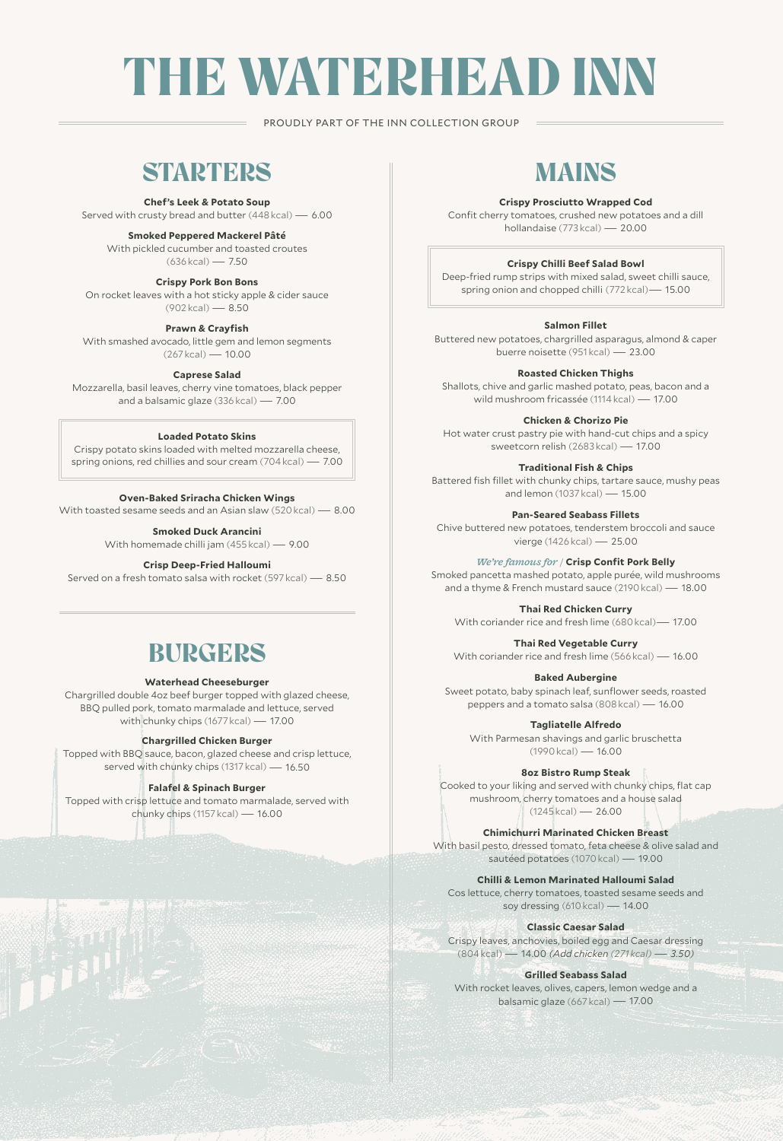# THE WATERHEAD INN

PROUDLY PART OF THE INN COLLECTION GROUP

### **STARTERS**

**Chef's Leek & Potato Soup** 

Served with crusty bread and butter (448 kcal) — 6.00

**Smoked Peppered Mackerel Pâté**

With pickled cucumber and toasted croutes  $(636 \text{ kcal}) - 750$ 

**Crispy Pork Bon Bons**  On rocket leaves with a hot sticky apple & cider sauce (902 kcal) — 8.50

**Prawn & Crayfish** With smashed avocado, little gem and lemon segments (267 kcal) — 10.00

#### **Caprese Salad**

Mozzarella, basil leaves, cherry vine tomatoes, black pepper and a balsamic glaze (336 kcal) — 7.00

#### **Loaded Potato Skins**

Crispy potato skins loaded with melted mozzarella cheese, spring onions, red chillies and sour cream (704 kcal) — 7.00

#### **Oven-Baked Sriracha Chicken Wings**

With toasted sesame seeds and an Asian slaw (520 kcal) — 8.00

**Smoked Duck Arancini**

With homemade chilli jam (455 kcal) — 9.00

#### **Crisp Deep-Fried Halloumi**

Served on a fresh tomato salsa with rocket (597 kcal) — 8.50

### **BURGERS**

#### **Waterhead Cheeseburger**

Chargrilled double 4oz beef burger topped with glazed cheese, BBQ pulled pork, tomato marmalade and lettuce, served with chunky chips (1677 kcal) — 17.00

#### **Chargrilled Chicken Burger**

Topped with BBQ sauce, bacon, glazed cheese and crisp lettuce, served with chunky chips (1317 kcal) - 16.50

#### **Falafel & Spinach Burger**

Topped with crisp lettuce and tomato marmalade, served with chunky chips (1157 kcal) — 16.00

### MAINS

#### **Crispy Prosciutto Wrapped Cod**

Confit cherry tomatoes, crushed new potatoes and a dill hollandaise (773 kcal) — 20.00

#### **Crispy Chilli Beef Salad Bowl**

Deep-fried rump strips with mixed salad, sweet chilli sauce, spring onion and chopped chilli (772 kcal)— 15.00

#### **Salmon Fillet**

Buttered new potatoes, chargrilled asparagus, almond & caper buerre noisette (951 kcal) — 23.00

#### **Roasted Chicken Thighs**

Shallots, chive and garlic mashed potato, peas, bacon and a wild mushroom fricassée (1114 kcal) — 17.00

**Chicken & Chorizo Pie**

Hot water crust pastry pie with hand-cut chips and a spicy sweetcorn relish (2683 kcal) — 17.00

#### **Traditional Fish & Chips**

Battered fish fillet with chunky chips, tartare sauce, mushy peas and lemon (1037 kcal) — 15.00

**Pan-Seared Seabass Fillets**

Chive buttered new potatoes, tenderstem broccoli and sauce vierge (1426 kcal) — 25.00

*We're famous for /* **Crisp Confit Pork Belly**

Smoked pancetta mashed potato, apple purée, wild mushrooms and a thyme & French mustard sauce (2190 kcal) — 18.00

**Thai Red Chicken Curry**

With coriander rice and fresh lime (680 kcal)— 17.00

**Thai Red Vegetable Curry**

With coriander rice and fresh lime (566 kcal) — 16.00

**Baked Aubergine** Sweet potato, baby spinach leaf, sunflower seeds, roasted peppers and a tomato salsa (808 kcal) — 16.00

**Tagliatelle Alfredo**

With Parmesan shavings and garlic bruschetta (1990 kcal) — 16.00

**8oz Bistro Rump Steak**

Cooked to your liking and served with chunky chips, flat cap mushroom, cherry tomatoes and a house salad  $(1245 \text{ kcal}) - 26.00$ 

**Chimichurri Marinated Chicken Breast** With basil pesto, dressed tomato, feta cheese & olive salad and sautéed potatoes (1070 kcal) — 19.00

**Chilli & Lemon Marinated Halloumi Salad** Cos lettuce, cherry tomatoes, toasted sesame seeds and

soy dressing (610 kcal) — 14.00

**Classic Caesar Salad** Crispy leaves, anchovies, boiled egg and Caesar dressing

(804 kcal) — 14.00 *(Add chicken (271 kcal) — 3.50)*

#### **Grilled Seabass Salad**

With rocket leaves, olives, capers, lemon wedge and a balsamic glaze (667 kcal) — 17.00